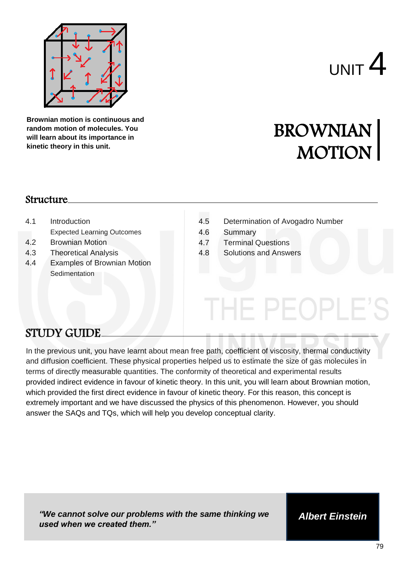

**Brownian motion is continuous and random motion of molecules. You will learn about its importance in kinetic theory in this unit.** 

# $_{\text{UNIT}}$  4

# BROWNIAN MOTION

#### Structure

- 4.1 Introduction
	- Expected Learning Outcomes
- 4.2 Brownian Motion
- 4.3 Theoretical Analysis
- 4.4 Examples of Brownian Motion **Sedimentation**
- 4.5 Determination of Avogadro Number<br>4.6 Summary<br>4.7 Terminal Questions<br>4.8 Solutions and Answers

IE PEOPLE

- 4.6 Summary **Diffusion of Avogadro Number of Avogadro Number**
- 4.7 Terminal Questions
- 4.8 Solutions and Answers

# STUDY GUIDE

In the previous unit, you have learnt about mean free path, coefficient of viscosity, thermal conductivity and diffusion coefficient. These physical properties helped us to estimate the size of gas molecules in terms of directly measurable quantities. The conformity of theoretical and experimental results provided indirect evidence in favour of kinetic theory. In this unit, you will learn about Brownian motion, which provided the first direct evidence in favour of kinetic theory. For this reason, this concept is extremely important and we have discussed the physics of this phenomenon. However, you should answer the SAQs and TQs, which will help you develop conceptual clarity.

*"We cannot solve our problems with the same thinking we used when we created them."*

*Albert Einstein*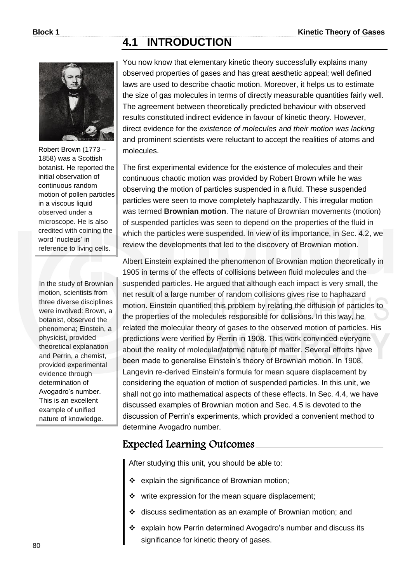### **4.1 INTRODUCTION**



Robert Brown (1773 – 1858) was a Scottish botanist. He reported the initial observation of continuous random motion of pollen particles in a viscous liquid observed under a microscope. He is also credited with coining the word 'nucleus' in reference to living cells.

In the study of Brownian motion, scientists from three diverse disciplines were involved: Brown, a botanist, observed the phenomena; Einstein, a physicist, provided theoretical explanation and Perrin, a chemist, provided experimental evidence through determination of Avogadro's number. This is an excellent example of unified nature of knowledge.

You now know that elementary kinetic theory successfully explains many observed properties of gases and has great aesthetic appeal; well defined laws are used to describe chaotic motion. Moreover, it helps us to estimate the size of gas molecules in terms of directly measurable quantities fairly well. The agreement between theoretically predicted behaviour with observed results constituted indirect evidence in favour of kinetic theory. However, direct evidence for the *existence of molecules and their motion was lacking* and prominent scientists were reluctant to accept the realities of atoms and molecules.

The first experimental evidence for the existence of molecules and their continuous chaotic motion was provided by Robert Brown while he was observing the motion of particles suspended in a fluid. These suspended particles were seen to move completely haphazardly. This irregular motion was termed **Brownian motion**. The nature of Brownian movements (motion) of suspended particles was seen to depend on the properties of the fluid in which the particles were suspended. In view of its importance, in Sec. 4.2, we review the developments that led to the discovery of Brownian motion.

Albert Einstein explained the phenomenon of Brownian motion theoretically in 1905 in terms of the effects of collisions between fluid molecules and the suspended particles. He argued that although each impact is very small, the net result of a large number of random collisions gives rise to haphazard motion. Einstein quantified this problem by relating the diffusion of particles to the properties of the molecules responsible for collisions. In this way, he related the molecular theory of gases to the observed motion of particles. His predictions were verified by Perrin in 1908. This work convinced everyone about the reality of molecular/atomic nature of matter. Several efforts have been made to generalise Einstein's theory of Brownian motion. In 1908, Langevin re-derived Einstein's formula for mean square displacement by considering the equation of motion of suspended particles. In this unit, we shall not go into mathematical aspects of these effects. In Sec. 4.4, we have discussed examples of Brownian motion and Sec. 4.5 is devoted to the discussion of Perrin's experiments, which provided a convenient method to determine Avogadro number.

### Expected Learning Outcomes

After studying this unit, you should be able to:

- \* explain the significance of Brownian motion;
- $\cdot \cdot$  write expression for the mean square displacement;
- discuss sedimentation as an example of Brownian motion; and
- explain how Perrin determined Avogadro's number and discuss its significance for kinetic theory of gases.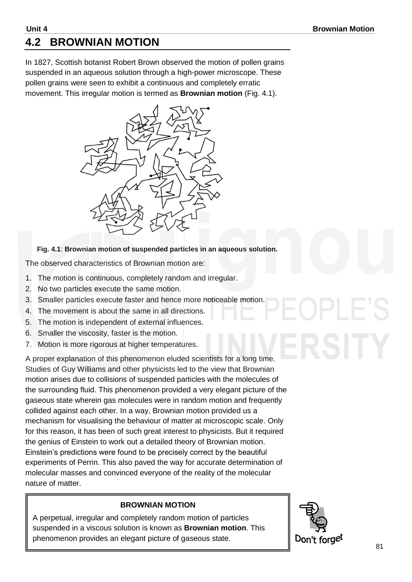# **4.2 BROWNIAN MOTION**

In 1827, Scottish botanist Robert Brown observed the motion of pollen grains suspended in an aqueous solution through a high-power microscope. These pollen grains were seen to exhibit a continuous and completely erratic movement. This irregular motion is termed as **Brownian motion** (Fig. 4.1).



#### **Fig. 4.1**: **Brownian motion of suspended particles in an aqueous solution.**

The observed characteristics of Brownian motion are:

- 1. The motion is continuous, completely random and irregular.
- 2. No two particles execute the same motion.
- 3. Smaller particles execute faster and hence more noticeable motion.
- 4. The movement is about the same in all directions.
- 5. The motion is independent of external influences.
- 6. Smaller the viscosity, faster is the motion.
- 7. Motion is more rigorous at higher temperatures.

A proper explanation of this phenomenon eluded scientists for a long time. Studies of Guy Williams and other physicists led to the view that Brownian motion arises due to collisions of suspended particles with the molecules of the surrounding fluid. This phenomenon provided a very elegant picture of the gaseous state wherein gas molecules were in random motion and frequently collided against each other. In a way, Brownian motion provided us a mechanism for visualising the behaviour of matter at microscopic scale. Only for this reason, it has been of such great interest to physicists. But it required the genius of Einstein to work out a detailed theory of Brownian motion. Einstein's predictions were found to be precisely correct by the beautiful experiments of Perrin. This also paved the way for accurate determination of molecular masses and convinced everyone of the reality of the molecular nature of matter.

#### **BROWNIAN MOTION**

A perpetual, irregular and completely random motion of particles suspended in a viscous solution is known as **Brownian motion**. This phenomenon provides an elegant picture of gaseous state.

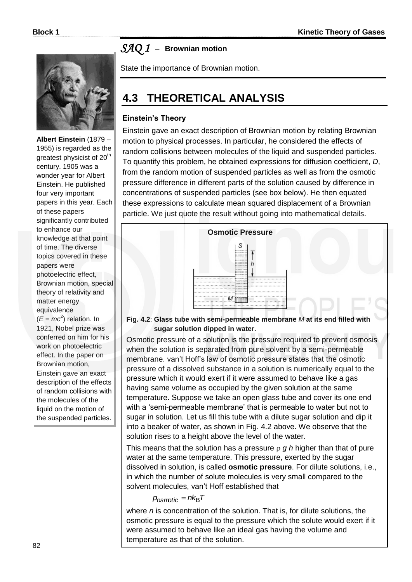

**Albert Einstein** (1879 – 1955) is regarded as the greatest physicist of 20<sup>th</sup> century. 1905 was a wonder year for Albert Einstein. He published four very important papers in this year. Each of these papers significantly contributed to enhance our knowledge at that point of time. The diverse topics covered in these papers were photoelectric effect, Brownian motion, special theory of relativity and matter energy equivalence  $(E = mc^2)$  relation. In 1921, Nobel prize was conferred on him for his work on photoelectric effect. In the paper on Brownian motion, Einstein gave an exact description of the effects of random collisions with the molecules of the liquid on the motion of

the suspended particles.

# *SAQ 1* –**Brownian motion**

State the importance of Brownian motion.

# **4.3 THEORETICAL ANALYSIS**

#### **Einstein's Theory**

Einstein gave an exact description of Brownian motion by relating Brownian motion to physical processes. In particular, he considered the effects of random collisions between molecules of the liquid and suspended particles. To quantify this problem, he obtained expressions for diffusion coefficient, *D*, from the random motion of suspended particles as well as from the osmotic pressure difference in different parts of the solution caused by difference in concentrations of suspended particles (see box below). He then equated these expressions to calculate mean squared displacement of a Brownian particle. We just quote the result without going into mathematical details.



**Fig. 4.2**: **Glass tube with semi-permeable membrane** *M* **at its end filled with sugar solution dipped in water.**

Osmotic pressure of a solution is the pressure required to prevent osmosis when the solution is separated from pure solvent by a semi-permeable membrane. van't Hoff's law of osmotic pressure states that the osmotic pressure of a dissolved substance in a solution is numerically equal to the pressure which it would exert if it were assumed to behave like a gas having same volume as occupied by the given solution at the same temperature. Suppose we take an open glass tube and cover its one end with a 'semi-permeable membrane' that is permeable to water but not to sugar in solution. Let us fill this tube with a dilute sugar solution and dip it into a beaker of water, as shown in Fig. 4.2 above. We observe that the solution rises to a height above the level of the water.

This means that the solution has a pressure  $\rho$  g h higher than that of pure water at the same temperature. This pressure, exerted by the sugar dissolved in solution, is called **osmotic pressure**. For dilute solutions, i.e., in which the number of solute molecules is very small compared to the solvent molecules, van't Hoff established that

 $p_{osmotic} = nk_BT$ 

where *n* is concentration of the solution. That is, for dilute solutions, the osmotic pressure is equal to the pressure which the solute would exert if it were assumed to behave like an ideal gas having the volume and temperature as that of the solution.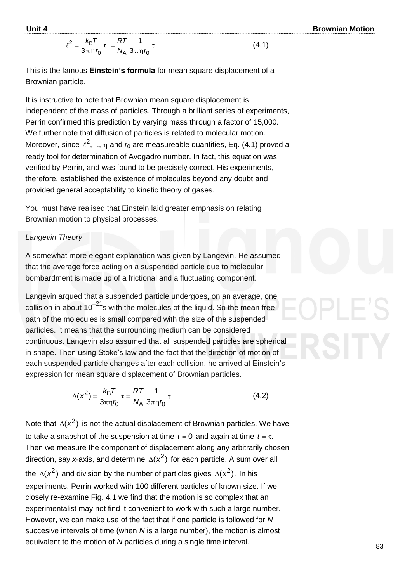$$
\ell^2 = \frac{k_B T}{3 \pi \eta r_0} \tau = \frac{RT}{N_A} \frac{1}{3 \pi \eta r_0} \tau
$$
 (4.1)

This is the famous **Einstein's formula** for mean square displacement of a Brownian particle.

It is instructive to note that Brownian mean square displacement is independent of the mass of particles. Through a brilliant series of experiments, Perrin confirmed this prediction by varying mass through a factor of 15,000. We further note that diffusion of particles is related to molecular motion. Moreover, since  $\ell^2$ ,  $\tau$ ,  $\eta$  and  $r_0$  are measureable quantities, Eq. (4.1) proved a ready tool for determination of Avogadro number. In fact, this equation was verified by Perrin, and was found to be precisely correct. His experiments, therefore, established the existence of molecules beyond any doubt and provided general acceptability to kinetic theory of gases.

You must have realised that Einstein laid greater emphasis on relating Brownian motion to physical processes.

#### *Langevin Theory*

A somewhat more elegant explanation was given by Langevin. He assumed that the average force acting on a suspended particle due to molecular bombardment is made up of a frictional and a fluctuating component.

Langevin argued that a suspended particle undergoes, on an average, one collision in about  $10^{-21}$ s with the molecules of the liquid. So the mean free path of the molecules is small compared with the size of the suspended particles. It means that the surrounding medium can be considered continuous. Langevin also assumed that all suspended particles are spherical in shape. Then using Stoke's law and the fact that the direction of motion of each suspended particle changes after each collision, he arrived at Einstein's expression for mean square displacement of Brownian particles.

$$
\Delta(\overline{x^2}) = \frac{k_B T}{3\pi \eta r_0} \tau = \frac{RT}{N_A} \frac{1}{3\pi \eta r_0} \tau
$$
(4.2)

Note that  $\Delta(x^2)$  is not the actual displacement of Brownian particles. We have to take a snapshot of the suspension at time  $t = 0$  and again at time  $t = \tau$ . Then we measure the component of displacement along any arbitrarily chosen direction, say *x*-axis, and determine  $\Delta(x^2)$  for each particle. A sum over all the  $\Delta(x^2)$  and division by the number of particles gives  $\Delta(x^2)$ . In his experiments, Perrin worked with 100 different particles of known size. If we closely re-examine Fig. 4.1 we find that the motion is so complex that an experimentalist may not find it convenient to work with such a large number. However, we can make use of the fact that if one particle is followed for *N*  succesive intervals of time (when *N* is a large number), the motion is almost equivalent to the motion of *N* particles during a single time interval.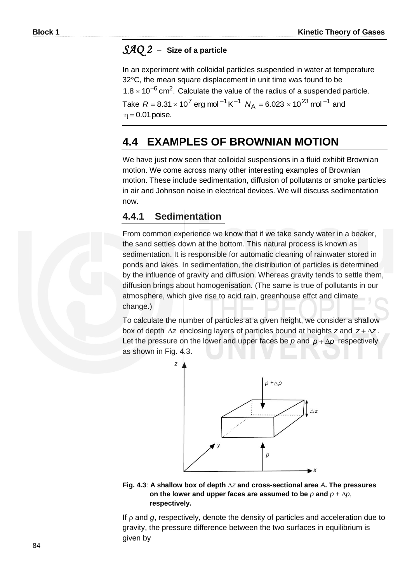#### *SAQ 2* –**Size of a particle**

In an experiment with colloidal particles suspended in water at temperature 32°C, the mean square displacement in unit time was found to be  $1.8 \times 10^{-6}$  cm<sup>2</sup>. Calculate the value of the radius of a suspended particle. Take  $R = 8.31 \times 10^7$  erg mol  $^{-1}$  K $^{-1}$   $N_\text{A} = 6.023 \times 10^{23}$  mol  $^{-1}$  and  $\eta = 0.01$  poise.

# **4.4 EXAMPLES OF BROWNIAN MOTION**

We have just now seen that colloidal suspensions in a fluid exhibit Brownian motion. We come across many other interesting examples of Brownian motion. These include sedimentation, diffusion of pollutants or smoke particles in air and Johnson noise in electrical devices. We will discuss sedimentation now.

#### **4.4.1 Sedimentation**

From common experience we know that if we take sandy water in a beaker, the sand settles down at the bottom. This natural process is known as sedimentation. It is responsible for automatic cleaning of rainwater stored in ponds and lakes. In sedimentation, the distribution of particles is determined by the influence of gravity and diffusion. Whereas gravity tends to settle them, diffusion brings about homogenisation. (The same is true of pollutants in our atmosphere, which give rise to acid rain, greenhouse effct and climate change.)

To calculate the number of particles at a given height, we consider a shallow box of depth  $\Delta z$  enclosing layers of particles bound at heights  $z$  and  $z + \Delta z$ . Let the pressure on the lower and upper faces be  $p$  and  $p + \Delta p$  respectively as shown in Fig. 4.3.



**Fig. 4.3**: **A shallow box of depth** *z* **and cross-sectional area** *A***. The pressures**  on the lower and upper faces are assumed to be  $p$  and  $p + \Delta p$ , **respectively.**

If  $\rho$  and  $g$ , respectively, denote the density of particles and acceleration due to gravity, the pressure difference between the two surfaces in equilibrium is given by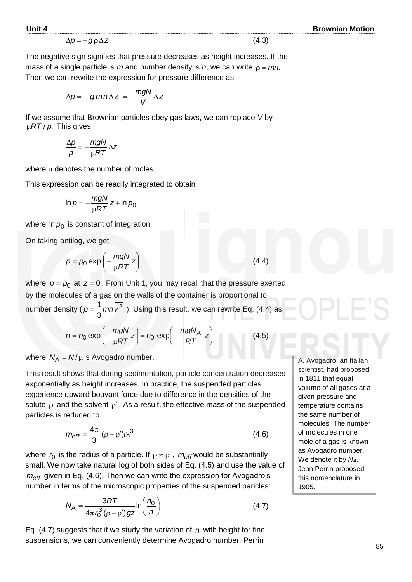$$
\Delta p = -g \rho \Delta z \tag{4.3}
$$

The negative sign signifies that pressure decreases as height increases. If the mass of a single particle is  $m$  and number density is  $n$ , we can write  $\rho = mn$ . Then we can rewrite the expression for pressure difference as

$$
\Delta p = -\,g\,mn\Delta z = -\frac{mgN}{V}\Delta z
$$

If we assume that Brownian particles obey gas laws, we can replace *V* by μ*RT* / *p*. This gives

$$
\frac{\Delta p}{p} = -\frac{mgN}{\mu RT} \Delta z
$$

where  $\mu$  denotes the number of moles.

This expression can be readily integrated to obtain

$$
\ln p = -\frac{mgN}{\mu RT}z + \ln p_0
$$

where  $ln p_0$  is constant of integration.

On taking antilog, we get

$$
p = p_0 \exp\left(-\frac{mgN}{\mu RT}z\right)
$$

where  $p = p_0$  at  $z = 0$ . From Unit 1, you may recall that the pressure exerted by the molecules of a gas on the walls of the container is proportional to number density ( $p = \frac{1}{2} m n v^2$ 3  $p = \frac{1}{2} m n v^2$  ). Using this result, we can rewrite Eq. (4.4) as

$$
n = n_0 \exp\left(-\frac{mgN}{\mu RT}z\right) = n_0 \exp\left(-\frac{mgN_A}{RT}z\right)
$$
 (4.5)

where  $N_A = N/\mu$  is Avogadro number.

This result shows that during sedimentation, particle concentration decreases exponentially as height increases. In practice, the suspended particles experience upward bouyant force due to difference in the densities of the solute  $\rho$  and the solvent  $\rho'$ . As a result, the effective mass of the suspended particles is reduced to

$$
m_{\text{eff}} = \frac{4\pi}{3} \left(\rho - \rho'\right) r_0^3 \tag{4.6}
$$

where  $r_0$  is the radius of a particle. If  $\rho \approx \rho'$ ,  $m_{\text{eff}}$  would be substantially small. We now take natural log of both sides of Eq. (4.5) and use the value of *meff* given in Eq. (4.6). Then we can write the expression for Avogadro's number in terms of the microscopic properties of the suspended paricles:

$$
N_{\rm A} = \frac{3RT}{4\pi r_0^3 (\rho - \rho') g z} \ln\left(\frac{n_0}{n}\right) \tag{4.7}
$$

Eq. (4.7) suggests that if we study the variation of *n* with height for fine suspensions, we can conveniently determine Avogadro number. Perrin

A. Avogadro, an Italian scientist, had proposed in 1811 that equal volume of all gases at a given pressure and temperature contains the same number of molecules. The number of molecules in one mole of a gas is known as Avogadro number. We denote it by *NA*. Jean Perrin proposed this nomenclature in 1905.

(4.4)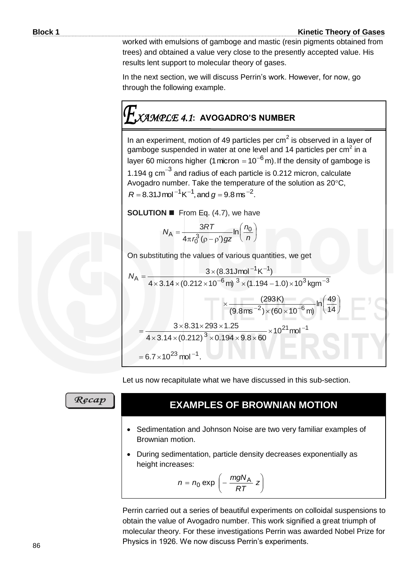worked with emulsions of gamboge and mastic (resin pigments obtained from trees) and obtained a value very close to the presently accepted value. His results lent support to molecular theory of gases.

In the next section, we will discuss Perrin's work. However, for now, go through the following example.

# *XAMPLE 4.1***: AVOGADRO'S NUMBER**

In an experiment, motion of 49 particles per  $cm<sup>2</sup>$  is observed in a layer of gamboge suspended in water at one level and 14 particles per cm<sup>2</sup> in a layer 60 microns higher (1 micron = 10<sup>-6</sup> m). If the density of gamboge is 1.194 g  $\text{cm}^{-3}$  and radius of each particle is 0.212 micron, calculate Avogadro number. Take the temperature of the solution as  $20^{\circ}$ C,  $R = 8.31$ J mol  $^{-1}$  K<sup>-1</sup>, and  $g = 9.8$  ms <sup>-2</sup>.

**SOLUTION ■** From Eq. (4.7), we have

$$
N_{\rm A} = \frac{3RT}{4\pi r_0^3 (\rho - \rho') g z} \ln\left(\frac{n_0}{n}\right)
$$

On substituting the values of various quantities, we get

$$
N_{A} = \frac{3 \times (8.31 \text{J} \text{mol}^{-1} \text{K}^{-1})}{4 \times 3.14 \times (0.212 \times 10^{-6} \text{m})^{3} \times (1.194 - 1.0) \times 10^{3} \text{kg} \text{m}^{-3}}
$$

$$
\times \frac{(293 \text{K})}{(9.8 \text{ms}^{-2}) \times (60 \times 10^{-6} \text{m})} \ln\left(\frac{49}{14}\right)
$$

$$
= \frac{3 \times 8.31 \times 293 \times 1.25}{4 \times 3.14 \times (0.212)^{3} \times 0.194 \times 9.8 \times 60} \times 10^{21} \text{mol}^{-1}
$$

$$
= 6.7 \times 10^{23} \text{mol}^{-1}.
$$

Let us now recapitulate what we have discussed in this sub-section.

Recap

# **EXAMPLES OF BROWNIAN MOTION**

- Sedimentation and Johnson Noise are two very familiar examples of Brownian motion.
- During sedimentation, particle density decreases exponentially as height increases:

$$
n = n_0 \exp\left(-\frac{mgN_A}{RT} z\right)
$$

Perrin carried out a series of beautiful experiments on colloidal suspensions to obtain the value of Avogadro number. This work signified a great triumph of molecular theory. For these investigations Perrin was awarded Nobel Prize for Physics in 1926. We now discuss Perrin's experiments.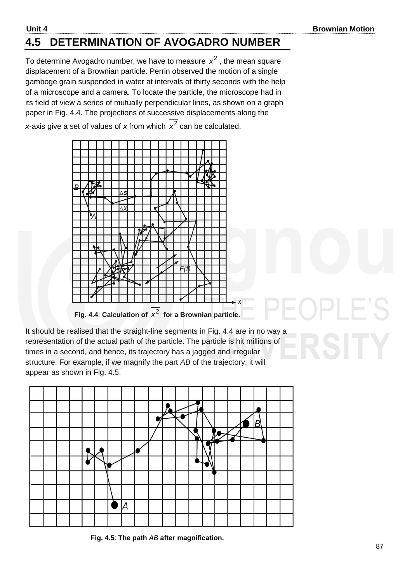# **4.5 DETERMINATION OF AVOGADRO NUMBER**

To determine Avogadro number, we have to measure  $x^2$  , the mean square displacement of a Brownian particle. Perrin observed the motion of a single gamboge grain suspended in water at intervals of thirty seconds with the help of a microscope and a camera. To locate the particle, the microscope had in its field of view a series of mutually perpendicular lines, as shown on a graph paper in Fig. 4.4. The projections of successive displacements along the *x*-axis give a set of values of *x* from which  $x^2$  can be calculated.



It should be realised that the straight-line segments in Fig. 4.4 are in no way a representation of the actual path of the particle. The particle is hit millions of times in a second, and hence, its trajectory has a jagged and irregular structure. For example, if we magnify the part *AB* of the trajectory, it will appear as shown in Fig. 4.5.



**Fig. 4.5**: **The path** *AB* **after magnification.**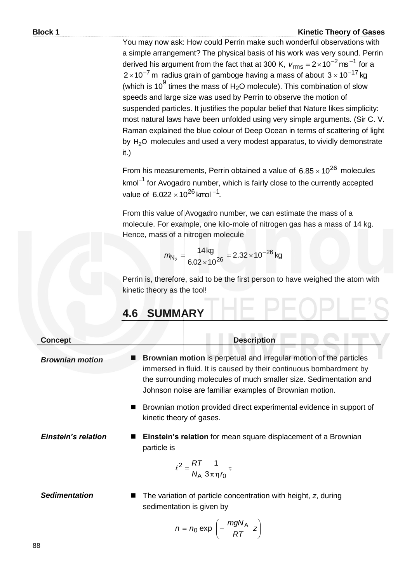You may now ask: How could Perrin make such wonderful observations with a simple arrangement? The physical basis of his work was very sound. Perrin derived his argument from the fact that at 300 K,  $v_{\text{rms}} = 2 \times 10^{-2} \text{ ms}^{-1}$  for a 2 $\times$ 10 $^{-7}$ m radius grain of gamboge having a mass of about 3 $\times$ 10 $^{-17}$ kg (which is 10 $^9$  times the mass of H<sub>2</sub>O molecule). This combination of slow speeds and large size was used by Perrin to observe the motion of suspended particles. It justifies the popular belief that Nature likes simplicity: most natural laws have been unfolded using very simple arguments. (Sir C. V. Raman explained the blue colour of Deep Ocean in terms of scattering of light by  $H<sub>2</sub>O$  molecules and used a very modest apparatus, to vividly demonstrate it.)

From his measurements, Perrin obtained a value of  $6.85 \times 10^{26}$  molecules kmol $^{-1}$  for Avogadro number, which is fairly close to the currently accepted value of  $6.022 \times 10^{26}$  kmol  $^{-1}$ .

From this value of Avogadro number, we can estimate the mass of a molecule. For example, one kilo-mole of nitrogen gas has a mass of 14 kg. Hence, mass of a nitrogen molecule

$$
m_{N_2} = \frac{14 \,\text{kg}}{6.02 \times 10^{26}} = 2.32 \times 10^{-26} \,\text{kg}
$$

Perrin is, therefore, said to be the first person to have weighed the atom with kinetic theory as the tool!

# **4.6 SUMMARY**

**Concept Description** *Brownian motion* **Brownian motion** is perpetual and irregular motion of the particles immersed in fluid. It is caused by their continuous bombardment by the surrounding molecules of much smaller size. Sedimentation and Johnson noise are familiar examples of Brownian motion. Brownian motion provided direct experimental evidence in support of kinetic theory of gases. **Einstein's relation ■ Einstein's relation** for mean square displacement of a Brownian particle is  $\tau$  $\pi$ η = <sub>Ά</sub> σπη*ι*<sub>Ο</sub> 2 3 1  $N_A 3\pi\eta h$  $\ell^2 = \frac{RT}{M}$ **Sedimentation** ■ The variation of particle concentration with height, *z*, during sedimentation is given by

$$
n = n_0 \exp\left(-\frac{mgN_A}{RT} z\right)
$$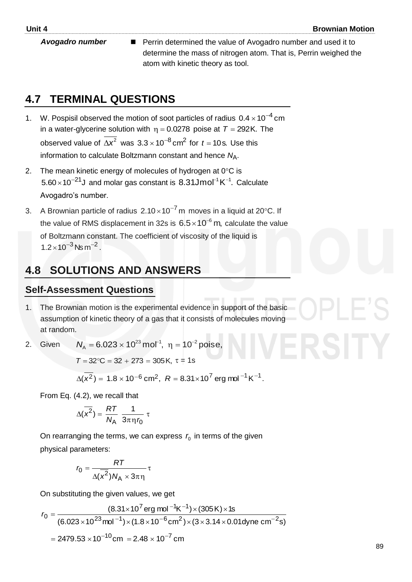**Avogadro number** ■ Perrin determined the value of Avogadro number and used it to determine the mass of nitrogen atom. That is, Perrin weighed the atom with kinetic theory as tool.

# **4.7 TERMINAL QUESTIONS**

- 1. W. Pospisil observed the motion of soot particles of radius  $0.4 \times 10^{-4}$  cm in a water-glycerine solution with  $\eta$  = 0.0278 poise at  $T = 292$ K. The observed value of  $\Delta x^2$  was  $3.3 \times 10^{-8}$  cm<sup>2</sup> for  $t = 10$ s. Use this information to calculate Boltzmann constant and hence N<sub>A</sub>.
- 2. The mean kinetic energy of molecules of hydrogen at  $0^{\circ}$ C is  $5.60\times10^{-21}$ J and molar gas constant is 8.31Jmol<sup>-1</sup>K<sup>-1</sup>. Calculate Avogadro's number.
- 3. A Brownian particle of radius  $2.10 \times 10^{-7}$  m moves in a liquid at 20°C. If the value of RMS displacement in 32s is  $6.5\times10^{-6}$  m, calculate the value of Boltzmann constant. The coefficient of viscosity of the liquid is  $1.2 \times 10^{-3}$  Ns m<sup>-2</sup>.

# **4.8 SOLUTIONS AND ANSWERS**

#### **Self-Assessment Questions**

- 1. The Brownian motion is the experimental evidence in support of the basic assumption of kinetic theory of a gas that it consists of molecules moving at random.
- 2. Given  $N_A = 6.023 \times 10^{23}$  mol<sup>-1</sup>,  $\eta = 10^{-2}$  poise,

$$
T = 32^{\circ}C = 32 + 273 = 305 \text{ K}, \tau = 1 \text{s}
$$

$$
\Delta(x^2) = 1.8 \times 10^{-6}
$$
 cm<sup>2</sup>,  $R = 8.31 \times 10^7$  erg mol<sup>-1</sup> K<sup>-1</sup>.

From Eq. (4.2), we recall that

$$
\Delta(\overline{x^2}) = \frac{RT}{N_A} \frac{1}{3\pi \eta r_0} \tau
$$

On rearranging the terms, we can express  $r_{0}$  in terms of the given physical parameters:

$$
r_0 = \frac{RT}{\Delta(\overline{x^2})N_A \times 3\pi\eta} \tau
$$

On substituting the given values, we get

On substituting the given values, we get  
\n
$$
r_0 = \frac{(8.31 \times 10^7 \text{ erg mol}^{-1} \text{K}^{-1}) \times (305 \text{K}) \times 1 \text{s}}{(6.023 \times 10^{23} \text{mol}^{-1}) \times (1.8 \times 10^{-6} \text{cm}^2) \times (3 \times 3.14 \times 0.01 \text{dyn cm}^{-2} \text{s})}
$$
\n= 2479.53 × 10<sup>-10</sup> cm = 2.48 × 10<sup>-7</sup> cm